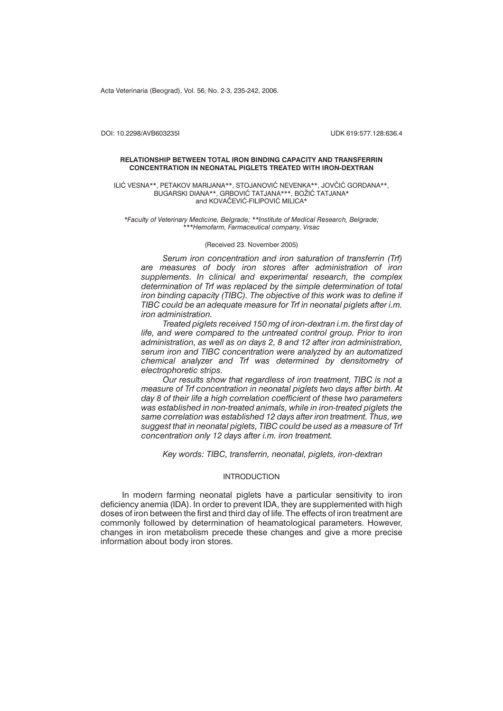Acta Veterinaria (Beograd), Vol. 56, No. 2-3, 235-242, 2006.

DOI: 10.2298/AVB603235I UDK 619:577.128:636.4

#### **RELATIONSHIP BETWEEN TOTAL IRON BINDING CAPACITY AND TRANSFERRIN CONCENTRATION IN NEONATAL PIGLETS TREATED WITH IRON-DEXTRAN**

ILIĆ VESNA\*\*, PETAKOV MARIJANA\*\*, STOJANOVIĆ NEVENKA\*\*, JOVČIĆ GORDANA\*\*, BUGARSKI DIANA\*\*, GRBOVIĆ TATJANA\*\*\*, BOŽIĆ TATJANA\* and KOVAČEVIĆ-FILIPOVIĆ MILICA\*

*\*Faculty of Veterinary Medicine, Belgrade; \*\*Institute of Medical Research, Belgrade; \*\*\*Hemofarm, Farmaceutical company, Vrsac*

## (Received 23. November 2005)

*Serum iron concentration and iron saturation of transferrin (Trf) are measures of body iron stores after administration of iron supplements. In clinical and experimental research, the complex determination of Trf was replaced by the simple determination of total iron binding capacity (TIBC). The objective of this work was to define if TIBC could be an adequate measure for Trf in neonatal piglets after i.m. iron administration.*

*Treated piglets received 150 mg of iron-dextran i.m. the first day of life, and were compared to the untreated control group. Prior to iron administration, as well as on days 2, 8 and 12 after iron administration, serum iron and TIBC concentration were analyzed by an automatized chemical analyzer and Trf was determined by densitometry of electrophoretic strips.*

*Our results show that regardless of iron treatment, TIBC is not a measure of Trf concentration in neonatal piglets two days after birth. At day 8 of their life a high correlation coefficient of these two parameters was established in non-treated animals, while in iron-treated piglets the same correlation was established 12 days after iron treatment. Thus, we suggest that in neonatal piglets, TIBC could be used as a measure of Trf concentration only 12 days after i.m. iron treatment.*

*Key words: TIBC, transferrin, neonatal, piglets, iron-dextran*

# INTRODUCTION

In modern farming neonatal piglets have a particular sensitivity to iron deficiency anemia (IDA). In order to prevent IDA, they are supplemented with high doses of iron between the first and third day of life. The effects of iron treatment are commonly followed by determination of heamatological parameters. However, changes in iron metabolism precede these changes and give a more precise information about body iron stores.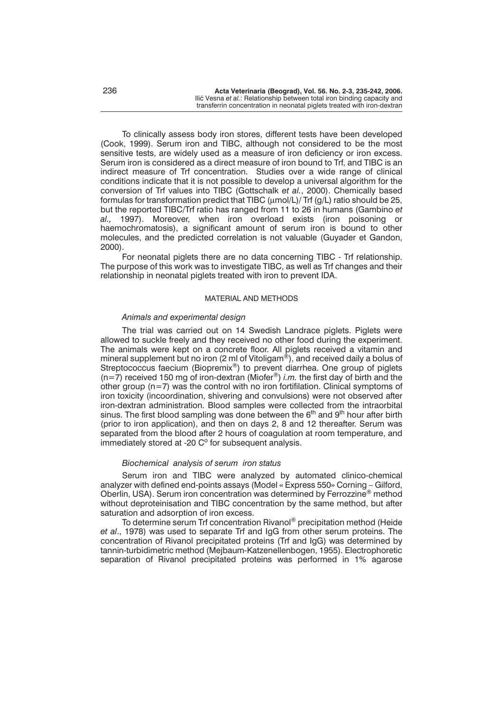To clinically assess body iron stores, different tests have been developed (Cook, 1999). Serum iron and TIBC, although not considered to be the most sensitive tests, are widely used as a measure of iron deficiency or iron excess. Serum iron is considered as a direct measure of iron bound to Trf, and TIBC is an indirect measure of Trf concentration. Studies over a wide range of clinical conditions indicate that it is not possible to develop a universal algorithm for the conversion of Trf values into TIBC (Gottschalk *et al.*, 2000). Chemically based formulas for transformation predict that TIBC ( $\mu$ mol/L)/ Trf ( $q/L$ ) ratio should be 25, but the reported TIBC/Trf ratio has ranged from 11 to 26 in humans (Gambino *et al.,* 1997). Moreover, when iron overload exists (iron poisoning or haemochromatosis), a significant amount of serum iron is bound to other molecules, and the predicted correlation is not valuable (Guyader et Gandon, 2000).

For neonatal piglets there are no data concerning TIBC - Trf relationship. The purpose of this work was to investigate TIBC, as well as Trf changes and their relationship in neonatal piglets treated with iron to prevent IDA.

### MATERIAL AND METHODS

## *Animals and experimental design*

The trial was carried out on 14 Swedish Landrace piglets. Piglets were allowed to suckle freely and they received no other food during the experiment. The animals were kept on a concrete floor. All piglets received a vitamin and mineral supplement but no iron (2 ml of Vitoligam®), and received daily a bolus of Streptococcus faecium (Biopremix®) to prevent diarrhea. One group of piglets ( $n=7$ ) received 150 mg of iron-dextran (Miofer<sup>®</sup>) *i.m.* the first day of birth and the other group  $(n=7)$  was the control with no iron fortifilation. Clinical symptoms of iron toxicity (incoordination, shivering and convulsions) were not observed after iron-dextran administration. Blood samples were collected from the intraorbital sinus. The first blood sampling was done between the  $6<sup>th</sup>$  and  $9<sup>th</sup>$  hour after birth (prior to iron application), and then on days 2, 8 and 12 thereafter. Serum was separated from the blood after 2 hours of coagulation at room temperature, and immediately stored at -20  $C^{\circ}$  for subsequent analysis.

## *Biochemical analysis of serum iron status*

Serum iron and TIBC were analyzed by automated clinico-chemical analyzer with defined end-points assays (Model « Express 550» Corning – Gilford, Oberlin, USA). Serum iron concentration was determined by Ferrozzine® method without deproteinisation and TIBC concentration by the same method, but after saturation and adsorption of iron excess.

To determine serum Trf concentration Rivanol<sup>®</sup> precipitation method (Heide *et al*., 1978) was used to separate Trf and IgG from other serum proteins. The concentration of Rivanol precipitated proteins (Trf and IgG) was determined by tannin-turbidimetric method (Mejbaum-Katzenellenbogen, 1955). Electrophoretic separation of Rivanol precipitated proteins was performed in 1% agarose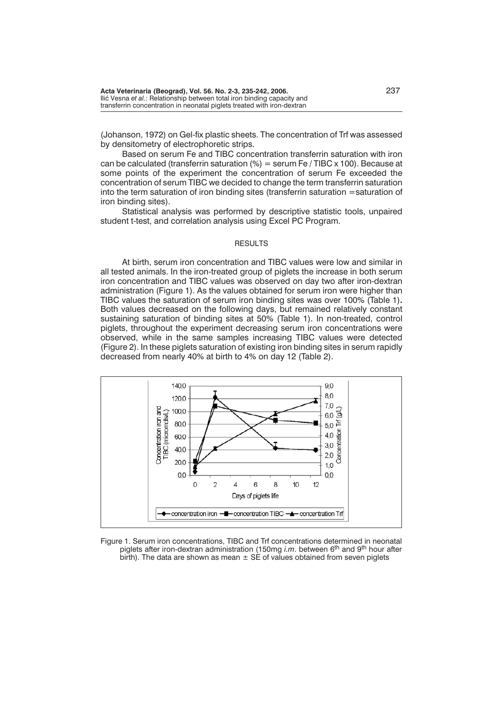(Johanson, 1972) on Gel-fix plastic sheets. The concentration of Trf was assessed by densitometry of electrophoretic strips.

Based on serum Fe and TIBC concentration transferrin saturation with iron can be calculated (transferrin saturation  $\left(\%\right) = \text{serum}$  Fe / TIBC x 100). Because at some points of the experiment the concentration of serum Fe exceeded the concentration of serum TIBC we decided to change the term transferrin saturation into the term saturation of iron binding sites (transferrin saturation =saturation of iron binding sites).

Statistical analysis was performed by descriptive statistic tools, unpaired student t-test, and correlation analysis using Excel PC Program.

### RESULTS

At birth, serum iron concentration and TIBC values were low and similar in all tested animals. In the iron-treated group of piglets the increase in both serum iron concentration and TIBC values was observed on day two after iron-dextran administration (Figure 1). As the values obtained for serum iron were higher than TIBC values the saturation of serum iron binding sites was over 100% (Table 1)**.** Both values decreased on the following days, but remained relatively constant sustaining saturation of binding sites at 50% (Table 1). In non-treated, control piglets, throughout the experiment decreasing serum iron concentrations were observed, while in the same samples increasing TIBC values were detected (Figure 2). In these piglets saturation of existing iron binding sites in serum rapidly decreased from nearly 40% at birth to 4% on day 12 (Table 2).



Figure 1. Serum iron concentrations, TIBC and Trf concentrations determined in neonatal piglets after iron-dextran administration (150mg *i.m*. between 6th and 9th hour after birth). The data are shown as mean  $\pm$  SE of values obtained from seven piglets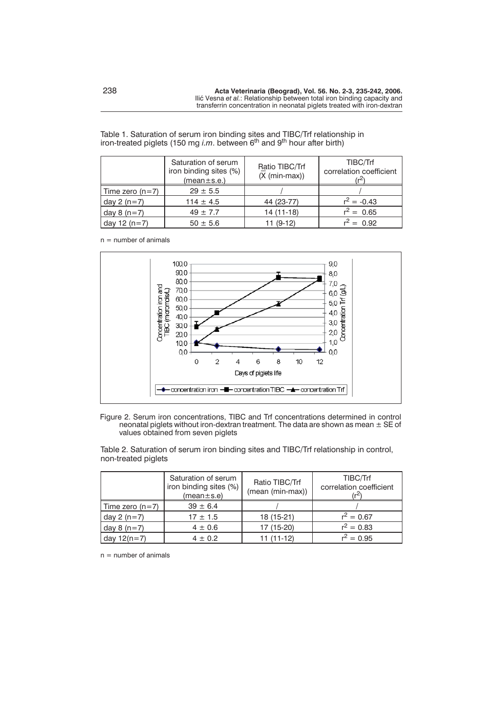|                   | Saturation of serum<br>iron binding sites (%)<br>(mean±s.e.) | Ratio TIBC/Trf<br>$(X (min-max))$ | TIBC/Trf<br>correlation coefficient |
|-------------------|--------------------------------------------------------------|-----------------------------------|-------------------------------------|
| Time zero $(n=7)$ | $29 \pm 5.5$                                                 |                                   |                                     |
| day $2(n=7)$      | $114 \pm 4.5$                                                | 44 (23-77)                        | $r^2 = -0.43$                       |
| day $8(n=7)$      | $49 \pm 7.7$                                                 | 14 (11-18)                        | $r^2 = 0.65$                        |
| day 12 $(n=7)$    | $50 \pm 5.6$                                                 | 11 (9-12)                         | $r^2 = 0.92$                        |

Table 1. Saturation of serum iron binding sites and TIBC/Trf relationship in iron-treated piglets (150 mg *i.m*. between 6<sup>th</sup> and 9<sup>th</sup> hour after birth)

 $n =$  number of animals



Figure 2. Serum iron concentrations, TIBC and Trf concentrations determined in control neonatal piglets without iron-dextran treatment. The data are shown as mean ± SE of values obtained from seven piglets

Table 2. Saturation of serum iron binding sites and TIBC/Trf relationship in control, non-treated piglets

|                 | Saturation of serum<br>iron binding sites (%)<br>$(mean \pm s.e)$ | Ratio TIBC/Trf<br>(mean (min-max)) | TIBC/Trf<br>correlation coefficient |
|-----------------|-------------------------------------------------------------------|------------------------------------|-------------------------------------|
| Time zero (n=7) | $39 \pm 6.4$                                                      |                                    |                                     |
| day $2(n=7)$    | $17 \pm 1.5$                                                      | 18 (15-21)                         | $r^2 = 0.67$                        |
| day $8(n=7)$    | $4 \pm 0.6$                                                       | 17 (15-20)                         | $r^2 = 0.83$                        |
| day $12(n=7)$   | $4 \pm 0.2$                                                       | $11(11-12)$                        | $r^2 = 0.95$                        |

 $n =$  number of animals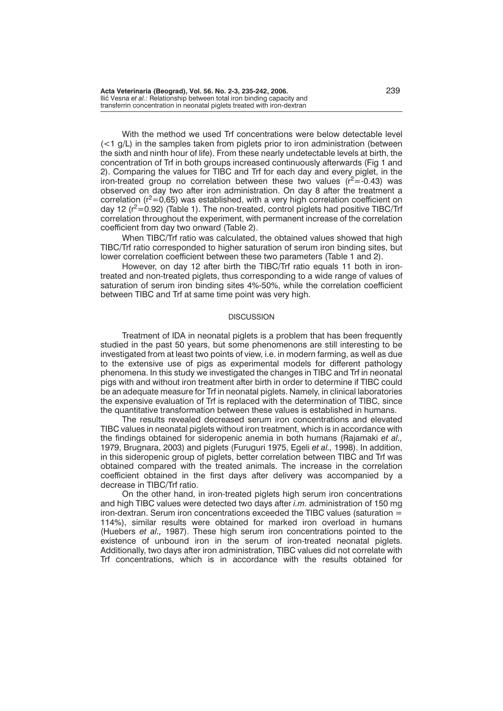With the method we used Trf concentrations were below detectable level  $\left($  <1 g/L) in the samples taken from piglets prior to iron administration (between the sixth and ninth hour of life). From these nearly undetectable levels at birth, the concentration of Trf in both groups increased continuously afterwards (Fig 1 and 2). Comparing the values for TIBC and Trf for each day and every piglet, in the iron-treated group no correlation between these two values  $(r^2 = 0.43)$  was observed on day two after iron administration. On day 8 after the treatment a correlation ( $r^2$ =0,65) was established, with a very high correlation coefficient on day 12  $(r^2=0.92)$  (Table 1). The non-treated, control piglets had positive TIBC/Trf correlation throughout the experiment, with permanent increase of the correlation coefficient from day two onward (Table 2).

When TIBC/Trf ratio was calculated, the obtained values showed that high TIBC/Trf ratio corresponded to higher saturation of serum iron binding sites, but lower correlation coefficient between these two parameters (Table 1 and 2).

However, on day 12 after birth the TIBC/Trf ratio equals 11 both in irontreated and non-treated piglets, thus corresponding to a wide range of values of saturation of serum iron binding sites 4%-50%, while the correlation coefficient between TIBC and Trf at same time point was very high.

### **DISCUSSION**

Treatment of IDA in neonatal piglets is a problem that has been frequently studied in the past 50 years, but some phenomenons are still interesting to be investigated from at least two points of view, i.e. in modern farming, as well as due to the extensive use of pigs as experimental models for different pathology phenomena. In this study we investigated the changes in TIBC and Trf in neonatal pigs with and without iron treatment after birth in order to determine if TIBC could be an adequate measure for Trf in neonatal piglets. Namely, in clinical laboratories the expensive evaluation of Trf is replaced with the determination of TIBC, since the quantitative transformation between these values is established in humans.

The results revealed decreased serum iron concentrations and elevated TIBC values in neonatal piglets without iron treatment, which is in accordance with the findings obtained for sideropenic anemia in both humans (Rajamaki *et al.,* 1979, Brugnara, 2003) and piglets (Furuguri 1975, Egeli *et al.,* 1998). In addition, in this sideropenic group of piglets, better correlation between TIBC and Trf was obtained compared with the treated animals. The increase in the correlation coefficient obtained in the first days after delivery was accompanied by a decrease in TIBC/Trf ratio.

On the other hand, in iron-treated piglets high serum iron concentrations and high TIBC values were detected two days after *i.m.* administration of 150 mg iron-dextran. Serum iron concentrations exceeded the TIBC values (saturation = 114%), similar results were obtained for marked iron overload in humans (Huebers *et al.,* 1987). These high serum iron concentrations pointed to the existence of unbound iron in the serum of iron-treated neonatal piglets. Additionally, two days after iron administration, TIBC values did not correlate with Trf concentrations, which is in accordance with the results obtained for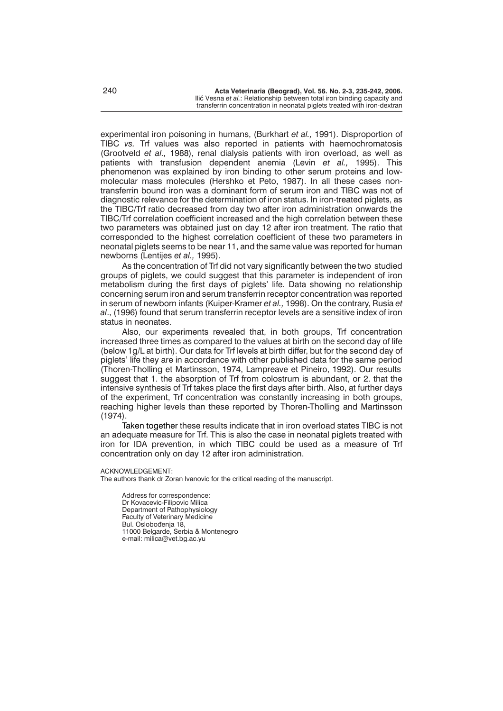experimental iron poisoning in humans, (Burkhart *et al.,* 1991). Disproportion of TIBC *vs.* Trf values was also reported in patients with haemochromatosis (Grootveld *et al.,* 1988), renal dialysis patients with iron overload, as well as patients with transfusion dependent anemia (Levin *et al.,* 1995). This phenomenon was explained by iron binding to other serum proteins and lowmolecular mass molecules (Hershko et Peto, 1987). In all these cases nontransferrin bound iron was a dominant form of serum iron and TIBC was not of diagnostic relevance for the determination of iron status. In iron-treated piglets, as the TIBC/Trf ratio decreased from day two after iron administration onwards the TIBC/Trf correlation coefficient increased and the high correlation between these two parameters was obtained just on day 12 after iron treatment. The ratio that corresponded to the highest correlation coefficient of these two parameters in neonatal piglets seems to be near 11, and the same value was reported for human newborns (Lentijes *et al.,* 1995).

As the concentration of Trf did not vary significantly between the two studied groups of piglets, we could suggest that this parameter is independent of iron metabolism during the first days of piglets' life. Data showing no relationship concerning serum iron and serum transferrin receptor concentration was reported in serum of newborn infants (Kuiper-Kramer *et al.,* 1998). On the contrary, Rusia *et al*., (1996) found that serum transferrin receptor levels are a sensitive index of iron status in neonates.

Also, our experiments revealed that, in both groups, Trf concentration increased three times as compared to the values at birth on the second day of life (below 1g/L at birth). Our data for Trf levels at birth differ, but for the second day of piglets' life they are in accordance with other published data for the same period (Thoren-Tholling et Martinsson, 1974, Lampreave et Pineiro, 1992). Our results suggest that 1. the absorption of Trf from colostrum is abundant, or 2. that the intensive synthesis of Trf takes place the first days after birth. Also, at further days of the experiment, Trf concentration was constantly increasing in both groups, reaching higher levels than these reported by Thoren-Tholling and Martinsson (1974).

Taken together these results indicate that in iron overload states TIBC is not an adequate measure for Trf. This is also the case in neonatal piglets treated with iron for IDA prevention, in which TIBC could be used as a measure of Trf concentration only on day 12 after iron administration.

#### ACKNOWLEDGEMENT:

The authors thank dr Zoran Ivanovic for the critical reading of the manuscript.

Address for correspondence: Dr Kovacevic-Filipovic Milica Department of Pathophysiology Faculty of Veterinary Medicine Bul. Oslobođenja 18, 11000 Belgarde, Serbia & Montenegro e-mail: milica@vet.bg.ac.yu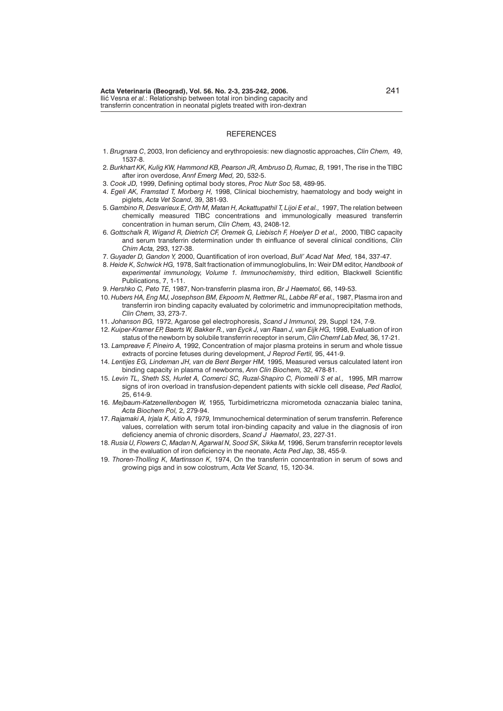#### **REFERENCES**

- 1. *Brugnara C*, 2003, Iron deficiency and erythropoiesis: new diagnostic approaches, *Clin Chem,* 49, 1537-8.
- 2. *Burkhart KK, Kulig KW, Hammond KB, Pearson JR, Ambruso D, Rumac, B,* 1991, The rise in the TIBC after iron overdose, *Annf Emerg Med,* 20, 532-5.
- 3. *Cook JD,* 1999, Defining optimal body stores, *Proc Nutr Soc* 58, 489-95.
- 4. *Egeli AK, Framstad T, Morberg H,* 1998, Clinical biochemistry, haematology and body weight in piglets, *Acta Vet Scand*, 39, 381-93.
- 5. *Gambino R, Desvarieux E, Orth M, Matan H, Ackattupathil T, Lijoi E et al.,* 1997, The relation between chemically measured TIBC concentrations and immunologically measured transferrin concentration in human serum, *Clin Chem,* 43, 2408-12.
- 6. *Gottschalk R, Wigand R, Dietrich CF, Oremek G, Liebisch F, Hoelyer D et al.,* 2000, TIBC capacity and serum transferrin determination under th einfluance of several clinical conditions, *Clin Chim Acta,* 293, 127-38.
- 7. *Guyader D, Gandon Y,* 2000, Quantification of iron overload, *Bull' Acad Nat Med,* 184, 337-47.
- 8. *Heide K, Schwick HG,* 1978, Salt fractionation of immunoglobulins, In: Weir DM editor, *Handbook of experimental immunology, Volume 1. Immunochemistry*, third edition, Blackwell Scientific Publications, 7, 1-11.
- 9. *Hershko C, Peto TE,* 1987, Non-transferrin plasma iron, *Br J Haematol,* 66, 149-53.
- 10. *Hubers HA, Eng MJ, Josephson BM, Ekpoom N, Rettmer RL, Labbe RF et al.,* 1987, Plasma iron and transferrin iron binding capacity evaluated by colorimetric and immunoprecipitation methods, *Clin Chem,* 33, 273-7.
- 11. *Johanson BG,* 1972, Agarose gel electrophoresis, *Scand J Immunol,* 29, Suppl 124, 7-9.
- 12. *Kuiper-Kramer EP, Baerts W, Bakker R., van Eyck J, van Raan J, van Eijk HG,* 1998, Evaluation of iron status of the newborn by solubile transferrin receptor in serum, *Clin Chemf Lab Med,* 36, 17-21.
- 13. *Lampreave F, Pineiro A,* 1992, Concentration of major plasma proteins in serum and whole tissue extracts of porcine fetuses during development, *J Reprod Fertil,* 95, 441-9.
- 14. *Lentijes EG, Lindeman JH, van de Bent Berger HM,* 1995, Measured versus calculated latent iron binding capacity in plasma of newborns, *Ann Clin Biochem,* 32, 478-81.
- 15. *Levin TL, Sheth SS, Hurlet A, Comerci SC, Ruzal-Shapiro C, Piomelli S et al.,* 1995, MR marrow signs of iron overload in transfusion-dependent patients with sickle cell disease, *Ped Radiol,* 25, 614-9.
- 16. *Mejbaum-Katzenellenbogen W,* 1955*,* Turbidimetriczna micrometoda oznaczania bialec tanina, *Acta Biochem Pol,* 2, 279-94.
- 17. *Rajamaki A, Irjala K, Aitio A, 1979,* Immunochemical determination of serum transferrin. Reference values, correlation with serum total iron-binding capacity and value in the diagnosis of iron deficiency anemia of chronic disorders, *Scand J Haematol*, 23, 227-31.
- 18. *Rusia U, Flowers C, Madan N, Agarwal N, Sood SK, Sikka M,* 1996, Serum transferrin receptor levels in the evaluation of iron deficiency in the neonate, *Acta Ped Jap,* 38, 455-9.
- 19. *Thoren-Tholling K, Martinsson K,* 1974, On the transferrin concentration in serum of sows and growing pigs and in sow colostrum, *Acta Vet Scand,* 15, 120-34.